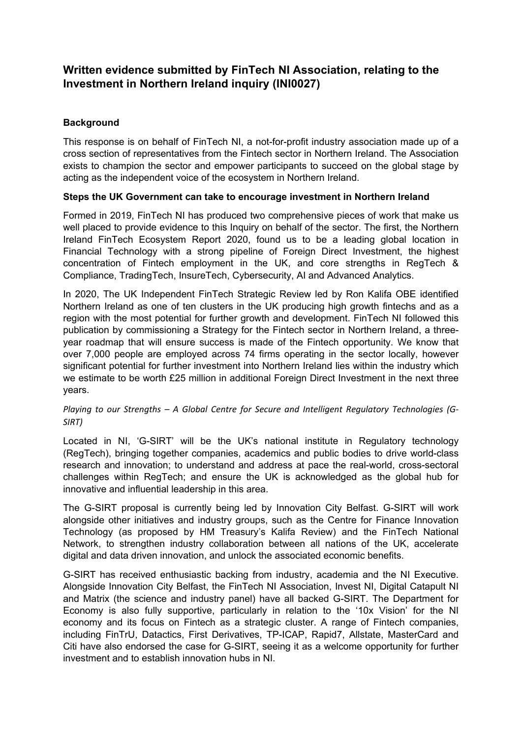# **Written evidence submitted by FinTech NI Association, relating to the Investment in Northern Ireland inquiry (INI0027)**

## **Background**

This response is on behalf of FinTech NI, a not-for-profit industry association made up of a cross section of representatives from the Fintech sector in Northern Ireland. The Association exists to champion the sector and empower participants to succeed on the global stage by acting as the independent voice of the ecosystem in Northern Ireland.

## **Steps the UK Government can take to encourage investment in Northern Ireland**

Formed in 2019, FinTech NI has produced two comprehensive pieces of work that make us well placed to provide evidence to this Inquiry on behalf of the sector. The first, the Northern Ireland FinTech Ecosystem Report 2020, found us to be a leading global location in Financial Technology with a strong pipeline of Foreign Direct Investment, the highest concentration of Fintech employment in the UK, and core strengths in RegTech & Compliance, TradingTech, InsureTech, Cybersecurity, AI and Advanced Analytics.

In 2020, The UK Independent FinTech Strategic Review led by Ron Kalifa OBE identified Northern Ireland as one of ten clusters in the UK producing high growth fintechs and as a region with the most potential for further growth and development. FinTech NI followed this publication by commissioning a Strategy for the Fintech sector in Northern Ireland, a threeyear roadmap that will ensure success is made of the Fintech opportunity. We know that over 7,000 people are employed across 74 firms operating in the sector locally, however significant potential for further investment into Northern Ireland lies within the industry which we estimate to be worth £25 million in additional Foreign Direct Investment in the next three years.

#### *Playing to our Strengths – A Global Centre for Secure and Intelligent Regulatory Technologies (G-SIRT)*

Located in NI, 'G-SIRT' will be the UK's national institute in Regulatory technology (RegTech), bringing together companies, academics and public bodies to drive world-class research and innovation; to understand and address at pace the real-world, cross-sectoral challenges within RegTech; and ensure the UK is acknowledged as the global hub for innovative and influential leadership in this area.

The G-SIRT proposal is currently being led by Innovation City Belfast. G-SIRT will work alongside other initiatives and industry groups, such as the Centre for Finance Innovation Technology (as proposed by HM Treasury's Kalifa Review) and the FinTech National Network, to strengthen industry collaboration between all nations of the UK, accelerate digital and data driven innovation, and unlock the associated economic benefits.

G-SIRT has received enthusiastic backing from industry, academia and the NI Executive. Alongside Innovation City Belfast, the FinTech NI Association, Invest NI, Digital Catapult NI and Matrix (the science and industry panel) have all backed G-SIRT. The Department for Economy is also fully supportive, particularly in relation to the '10x Vision' for the NI economy and its focus on Fintech as a strategic cluster. A range of Fintech companies, including FinTrU, Datactics, First Derivatives, TP-ICAP, Rapid7, Allstate, MasterCard and Citi have also endorsed the case for G-SIRT, seeing it as a welcome opportunity for further investment and to establish innovation hubs in NI.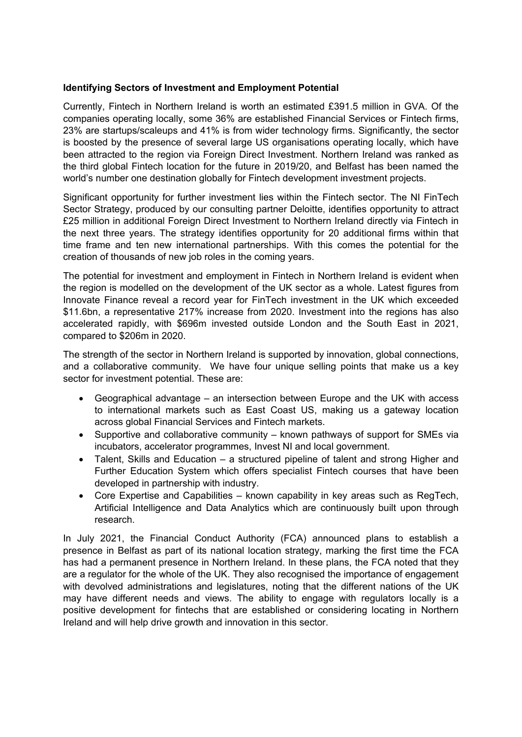## **Identifying Sectors of Investment and Employment Potential**

Currently, Fintech in Northern Ireland is worth an estimated £391.5 million in GVA. Of the companies operating locally, some 36% are established Financial Services or Fintech firms, 23% are startups/scaleups and 41% is from wider technology firms. Significantly, the sector is boosted by the presence of several large US organisations operating locally, which have been attracted to the region via Foreign Direct Investment. Northern Ireland was ranked as the third global Fintech location for the future in 2019/20, and Belfast has been named the world's number one destination globally for Fintech development investment projects.

Significant opportunity for further investment lies within the Fintech sector. The NI FinTech Sector Strategy, produced by our consulting partner Deloitte, identifies opportunity to attract £25 million in additional Foreign Direct Investment to Northern Ireland directly via Fintech in the next three years. The strategy identifies opportunity for 20 additional firms within that time frame and ten new international partnerships. With this comes the potential for the creation of thousands of new job roles in the coming years.

The potential for investment and employment in Fintech in Northern Ireland is evident when the region is modelled on the development of the UK sector as a whole. Latest figures from Innovate Finance reveal a record year for FinTech investment in the UK which exceeded \$11.6bn, a representative 217% increase from 2020. Investment into the regions has also accelerated rapidly, with \$696m invested outside London and the South East in 2021, compared to \$206m in 2020.

The strength of the sector in Northern Ireland is supported by innovation, global connections, and a collaborative community. We have four unique selling points that make us a key sector for investment potential. These are:

- Geographical advantage an intersection between Europe and the UK with access to international markets such as East Coast US, making us a gateway location across global Financial Services and Fintech markets.
- Supportive and collaborative community known pathways of support for SMEs via incubators, accelerator programmes, Invest NI and local government.
- Talent, Skills and Education a structured pipeline of talent and strong Higher and Further Education System which offers specialist Fintech courses that have been developed in partnership with industry.
- Core Expertise and Capabilities known capability in key areas such as RegTech, Artificial Intelligence and Data Analytics which are continuously built upon through research.

In July 2021, the Financial Conduct Authority (FCA) announced plans to establish a presence in Belfast as part of its national location strategy, marking the first time the FCA has had a permanent presence in Northern Ireland. In these plans, the FCA noted that they are a regulator for the whole of the UK. They also recognised the importance of engagement with devolved administrations and legislatures, noting that the different nations of the UK may have different needs and views. The ability to engage with regulators locally is a positive development for fintechs that are established or considering locating in Northern Ireland and will help drive growth and innovation in this sector.